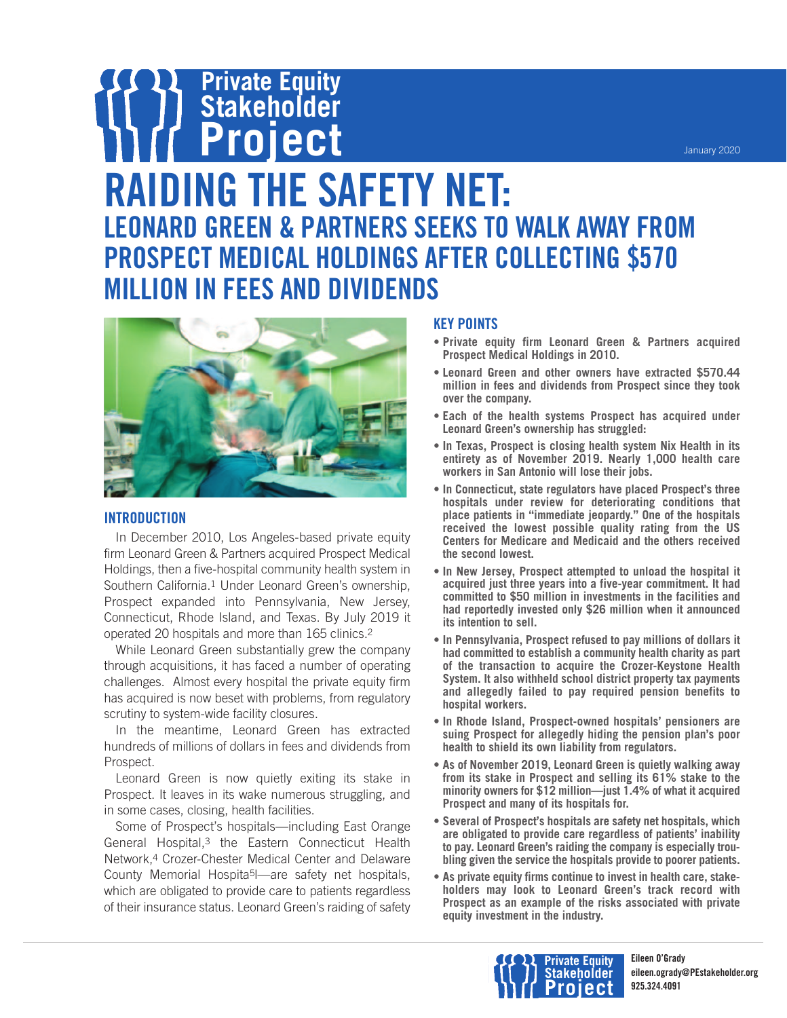### **Private Equity Stakeholder Project RAIDING THE SAFETY NET: LEONARD GREEN & PARTNERS SEEKS TO WALK AWAY FROM PROSPECT MEDICAL HOLDINGS AFTER COLLECTING \$570 MILLION IN FEES AND DIVIDENDS**



#### **INTRODUCTION**

In December 2010, Los Angeles-based private equity firm Leonard Green & Partners acquired Prospect Medical Holdings, then a five-hospital community health system in Southern California.1 Under Leonard Green's ownership, Prospect expanded into Pennsylvania, New Jersey, Connecticut, Rhode Island, and Texas. By July 2019 it operated 20 hospitals and more than 165 clinics.2

While Leonard Green substantially grew the company through acquisitions, it has faced a number of operating challenges. Almost every hospital the private equity firm has acquired is now beset with problems, from regulatory scrutiny to system-wide facility closures.

In the meantime, Leonard Green has extracted hundreds of millions of dollars in fees and dividends from Prospect.

Leonard Green is now quietly exiting its stake in Prospect. It leaves in its wake numerous struggling, and in some cases, closing, health facilities.

Some of Prospect's hospitals—including East Orange General Hospital,<sup>3</sup> the Eastern Connecticut Health Network,4 Crozer-Chester Medical Center and Delaware County Memorial Hospita5l—are safety net hospitals, which are obligated to provide care to patients regardless of their insurance status. Leonard Green's raiding of safety

#### **KEY POINTS**

- **• Private equity firm Leonard Green & Partners acquired Prospect Medical Holdings in 2010.**
- **• Leonard Green and other owners have extracted \$570.44 million in fees and dividends from Prospect since they took over the company.**
- **• Each of the health systems Prospect has acquired under Leonard Green's ownership has struggled:**
- **• In Texas, Prospect is closing health system Nix Health in its entirety as of November 2019. Nearly 1,000 health care workers in San Antonio will lose their jobs.**
- **• In Connecticut, state regulators have placed Prospect's three hospitals under review for deteriorating conditions that place patients in "immediate jeopardy." One of the hospitals received the lowest possible quality rating from the US Centers for Medicare and Medicaid and the others received the second lowest.**
- **• In New Jersey, Prospect attempted to unload the hospital it acquired just three years into a five-year commitment. It had committed to \$50 million in investments in the facilities and had reportedly invested only \$26 million when it announced its intention to sell.**
- **• In Pennsylvania, Prospect refused to pay millions of dollars it had committed to establish a community health charity as part of the transaction to acquire the Crozer-Keystone Health System. It also withheld school district property tax payments and allegedly failed to pay required pension benefits to hospital workers.**
- **• In Rhode Island, Prospect-owned hospitals' pensioners are suing Prospect for allegedly hiding the pension plan's poor health to shield its own liability from regulators.**
- **• As of November 2019, Leonard Green is quietly walking away from its stake in Prospect and selling its 61% stake to the minority owners for \$12 million—just 1.4% of what it acquired Prospect and many of its hospitals for.**
- **• Several of Prospect's hospitals are safety net hospitals, which are obligated to provide care regardless of patients' inability to pay. Leonard Green's raiding the company is especially troubling given the service the hospitals provide to poorer patients.**
- **• As private equity firms continue to invest in health care, stakeholders may look to Leonard Green's track record with Prospect as an example of the risks associated with private equity investment in the industry.**

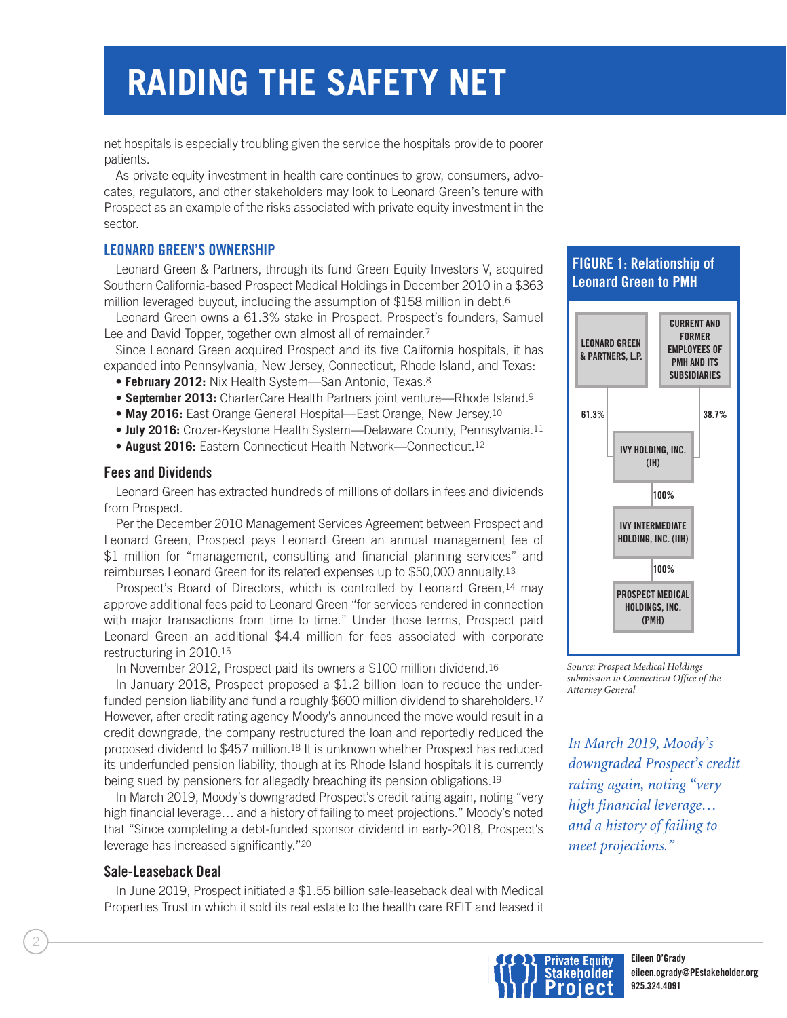net hospitals is especially troubling given the service the hospitals provide to poorer patients.

As private equity investment in health care continues to grow, consumers, advocates, regulators, and other stakeholders may look to Leonard Green's tenure with Prospect as an example of the risks associated with private equity investment in the sector.

#### **LEONARD GREEN'S OWNERSHIP**

Leonard Green & Partners, through its fund Green Equity Investors V, acquired Southern California-based Prospect Medical Holdings in December 2010 in a \$363 million leveraged buyout, including the assumption of \$158 million in debt.6

Leonard Green owns a 61.3% stake in Prospect. Prospect's founders, Samuel Lee and David Topper, together own almost all of remainder.7

Since Leonard Green acquired Prospect and its five California hospitals, it has expanded into Pennsylvania, New Jersey, Connecticut, Rhode Island, and Texas:

- **• February 2012:** Nix Health System—San Antonio, Texas.8
- **• September 2013:** CharterCare Health Partners joint venture—Rhode Island.9
- **• May 2016:** East Orange General Hospital—East Orange, New Jersey.10
- **• July 2016:** Crozer-Keystone Health System—Delaware County, Pennsylvania.11
- **• August 2016:** Eastern Connecticut Health Network—Connecticut.12

#### **Fees and Dividends**

Leonard Green has extracted hundreds of millions of dollars in fees and dividends from Prospect.

Per the December 2010 Management Services Agreement between Prospect and Leonard Green, Prospect pays Leonard Green an annual management fee of \$1 million for "management, consulting and financial planning services" and reimburses Leonard Green for its related expenses up to \$50,000 annually.13

Prospect's Board of Directors, which is controlled by Leonard Green, 14 may approve additional fees paid to Leonard Green "for services rendered in connection with major transactions from time to time." Under those terms, Prospect paid Leonard Green an additional \$4.4 million for fees associated with corporate restructuring in 2010.15

In November 2012, Prospect paid its owners a \$100 million dividend.16

In January 2018, Prospect proposed a \$1.2 billion loan to reduce the underfunded pension liability and fund a roughly \$600 million dividend to shareholders.<sup>17</sup> However, after credit rating agency Moody's announced the move would result in a credit downgrade, the company restructured the loan and reportedly reduced the proposed dividend to \$457 million.18 It is unknown whether Prospect has reduced its underfunded pension liability, though at its Rhode Island hospitals it is currently being sued by pensioners for allegedly breaching its pension obligations.19

In March 2019, Moody's downgraded Prospect's credit rating again, noting "very high financial leverage… and a history of failing to meet projections." Moody's noted that "Since completing a debt-funded sponsor dividend in early-2018, Prospect's leverage has increased significantly."20

#### **Sale-Leaseback Deal**

In June 2019, Prospect initiated a \$1.55 billion sale-leaseback deal with Medical Properties Trust in which it sold its real estate to the health care REIT and leased it

#### **FIGURE 1: Relationship of Leonard Green to PMH**



*Source: Prospect Medical Holdings submission to Connecticut Office of the Attorney General*

*In March 2019, Moody's downgraded Prospect's credit rating again, noting "very high financial leverage… and a history of failing to meet projections."*

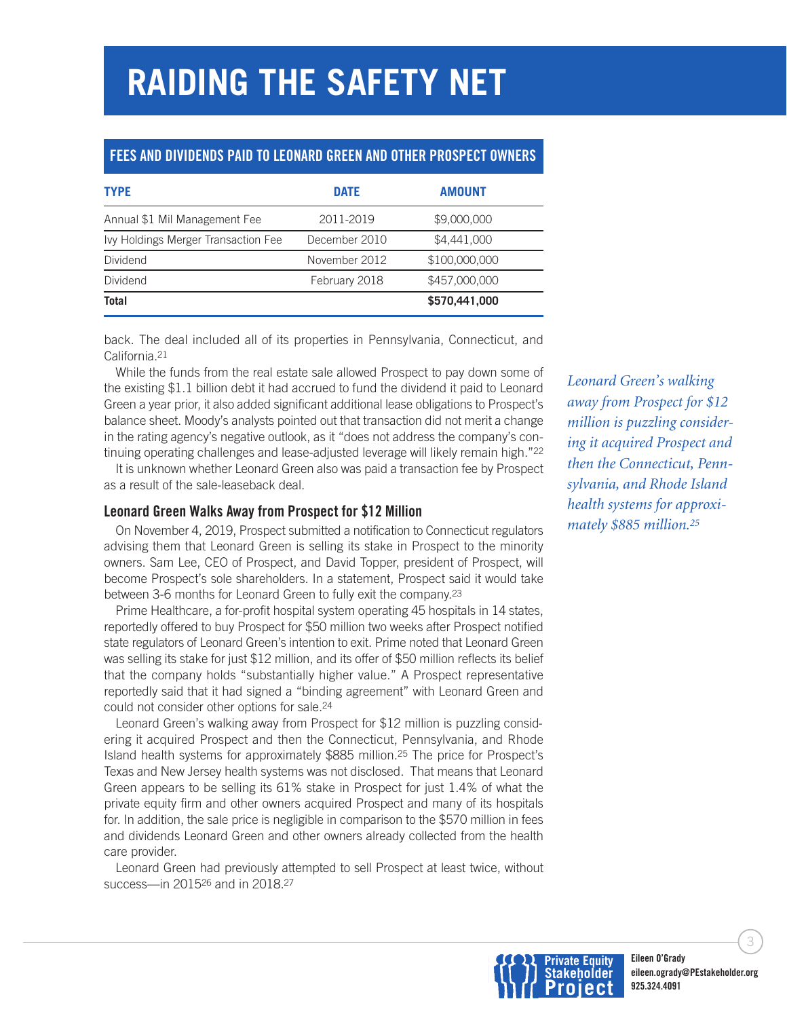#### **FEES AND DIVIDENDS PAID TO LEONARD GREEN AND OTHER PROSPECT OWNERS**

| <b>TYPE</b>                         | <b>DATE</b>   | <b>AMOUNT</b> |  |
|-------------------------------------|---------------|---------------|--|
| Annual \$1 Mil Management Fee       | 2011-2019     | \$9,000,000   |  |
| Ivy Holdings Merger Transaction Fee | December 2010 | \$4,441,000   |  |
| Dividend                            | November 2012 | \$100,000,000 |  |
| Dividend                            | February 2018 | \$457,000,000 |  |
| <b>Total</b>                        |               | \$570,441,000 |  |

back. The deal included all of its properties in Pennsylvania, Connecticut, and California.21

While the funds from the real estate sale allowed Prospect to pay down some of the existing \$1.1 billion debt it had accrued to fund the dividend it paid to Leonard Green a year prior, it also added significant additional lease obligations to Prospect's balance sheet. Moody's analysts pointed out that transaction did not merit a change in the rating agency's negative outlook, as it "does not address the company's continuing operating challenges and lease-adjusted leverage will likely remain high."22

It is unknown whether Leonard Green also was paid a transaction fee by Prospect as a result of the sale-leaseback deal.

#### **Leonard Green Walks Away from Prospect for \$12 Million**

On November 4, 2019, Prospect submitted a notification to Connecticut regulators advising them that Leonard Green is selling its stake in Prospect to the minority owners. Sam Lee, CEO of Prospect, and David Topper, president of Prospect, will become Prospect's sole shareholders. In a statement, Prospect said it would take between 3-6 months for Leonard Green to fully exit the company.23

Prime Healthcare, a for-profit hospital system operating 45 hospitals in 14 states, reportedly offered to buy Prospect for \$50 million two weeks after Prospect notified state regulators of Leonard Green's intention to exit. Prime noted that Leonard Green was selling its stake for just \$12 million, and its offer of \$50 million reflects its belief that the company holds "substantially higher value." A Prospect representative reportedly said that it had signed a "binding agreement" with Leonard Green and could not consider other options for sale.24

Leonard Green's walking away from Prospect for \$12 million is puzzling considering it acquired Prospect and then the Connecticut, Pennsylvania, and Rhode Island health systems for approximately \$885 million.25 The price for Prospect's Texas and New Jersey health systems was not disclosed. That means that Leonard Green appears to be selling its 61% stake in Prospect for just 1.4% of what the private equity firm and other owners acquired Prospect and many of its hospitals for. In addition, the sale price is negligible in comparison to the \$570 million in fees and dividends Leonard Green and other owners already collected from the health care provider.

Leonard Green had previously attempted to sell Prospect at least twice, without success—in 201526 and in 2018.27

*Leonard Green's walking away from Prospect for \$12 million is puzzling considering it acquired Prospect and then the Connecticut, Pennsylvania, and Rhode Island health systems for approximately \$885 million. 25*



3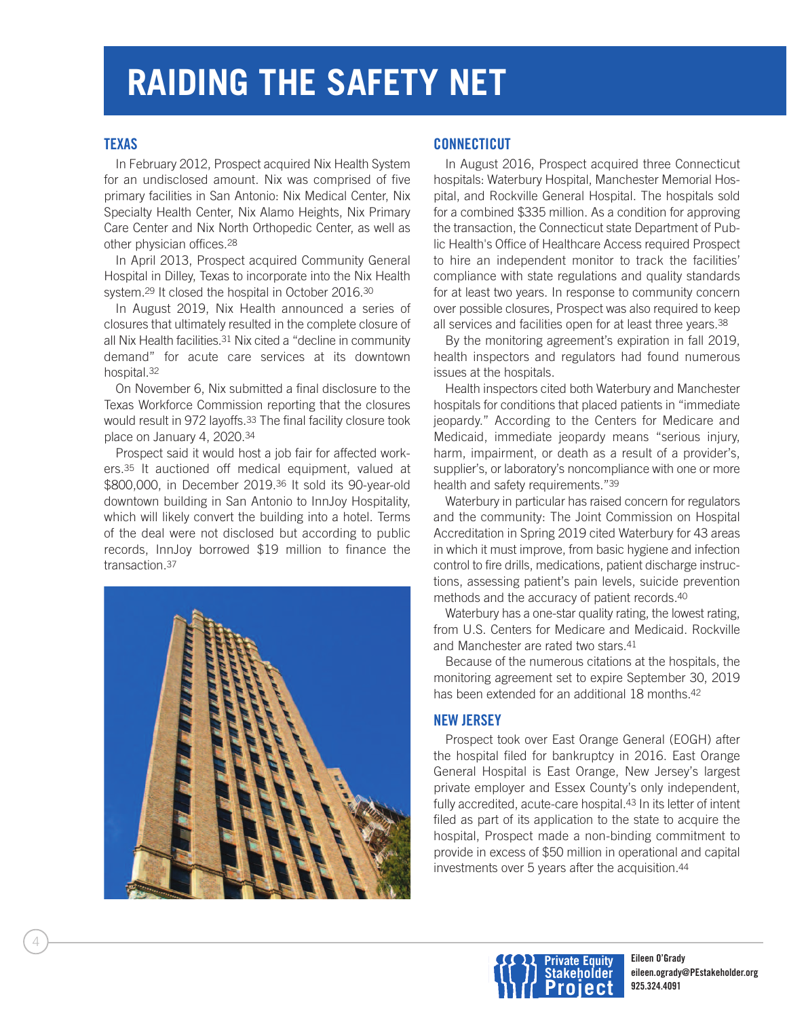#### **TEXAS**

In February 2012, Prospect acquired Nix Health System for an undisclosed amount. Nix was comprised of five primary facilities in San Antonio: Nix Medical Center, Nix Specialty Health Center, Nix Alamo Heights, Nix Primary Care Center and Nix North Orthopedic Center, as well as other physician offices.28

In April 2013, Prospect acquired Community General Hospital in Dilley, Texas to incorporate into the Nix Health system.29 It closed the hospital in October 2016.30

In August 2019, Nix Health announced a series of closures that ultimately resulted in the complete closure of all Nix Health facilities.31 Nix cited a "decline in community demand" for acute care services at its downtown hospital.32

On November 6, Nix submitted a final disclosure to the Texas Workforce Commission reporting that the closures would result in 972 layoffs.33 The final facility closure took place on January 4, 2020.34

Prospect said it would host a job fair for affected workers.35 It auctioned off medical equipment, valued at \$800,000, in December 2019.36 It sold its 90-year-old downtown building in San Antonio to InnJoy Hospitality, which will likely convert the building into a hotel. Terms of the deal were not disclosed but according to public records, InnJoy borrowed \$19 million to finance the transaction.37



#### **CONNECTICUT**

In August 2016, Prospect acquired three Connecticut hospitals: Waterbury Hospital, Manchester Memorial Hospital, and Rockville General Hospital. The hospitals sold for a combined \$335 million. As a condition for approving the transaction, the Connecticut state Department of Public Health's Office of Healthcare Access required Prospect to hire an independent monitor to track the facilities' compliance with state regulations and quality standards for at least two years. In response to community concern over possible closures, Prospect was also required to keep all services and facilities open for at least three years.38

By the monitoring agreement's expiration in fall 2019, health inspectors and regulators had found numerous issues at the hospitals.

Health inspectors cited both Waterbury and Manchester hospitals for conditions that placed patients in "immediate jeopardy." According to the Centers for Medicare and Medicaid, immediate jeopardy means "serious injury, harm, impairment, or death as a result of a provider's, supplier's, or laboratory's noncompliance with one or more health and safety requirements."39

Waterbury in particular has raised concern for regulators and the community: The Joint Commission on Hospital Accreditation in Spring 2019 cited Waterbury for 43 areas in which it must improve, from basic hygiene and infection control to fire drills, medications, patient discharge instructions, assessing patient's pain levels, suicide prevention methods and the accuracy of patient records.40

Waterbury has a one-star quality rating, the lowest rating, from U.S. Centers for Medicare and Medicaid. Rockville and Manchester are rated two stars.41

Because of the numerous citations at the hospitals, the monitoring agreement set to expire September 30, 2019 has been extended for an additional 18 months.42

#### **NEW JERSEY**

Prospect took over East Orange General (EOGH) after the hospital filed for bankruptcy in 2016. East Orange General Hospital is East Orange, New Jersey's largest private employer and Essex County's only independent, fully accredited, acute-care hospital.<sup>43</sup> In its letter of intent filed as part of its application to the state to acquire the hospital, Prospect made a non-binding commitment to provide in excess of \$50 million in operational and capital investments over 5 years after the acquisition.44

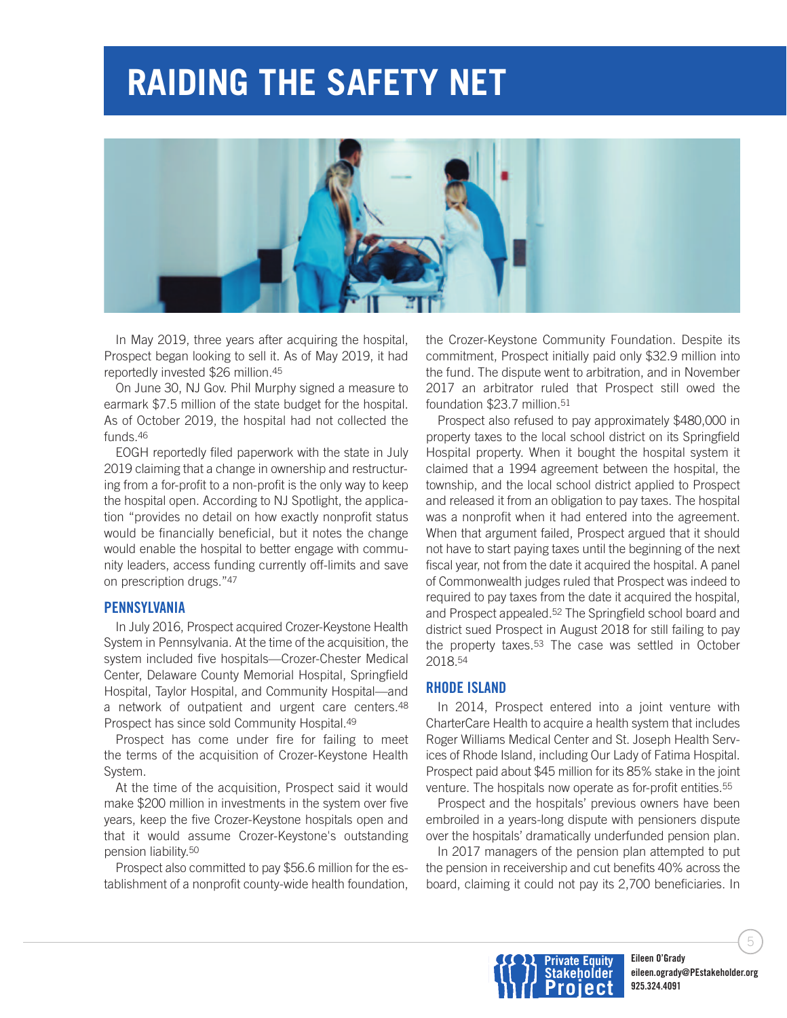

In May 2019, three years after acquiring the hospital, Prospect began looking to sell it. As of May 2019, it had reportedly invested \$26 million.45

On June 30, NJ Gov. Phil Murphy signed a measure to earmark \$7.5 million of the state budget for the hospital. As of October 2019, the hospital had not collected the funds.46

EOGH reportedly filed paperwork with the state in July 2019 claiming that a change in ownership and restructuring from a for-profit to a non-profit is the only way to keep the hospital open. According to NJ Spotlight, the application "provides no detail on how exactly nonprofit status would be financially beneficial, but it notes the change would enable the hospital to better engage with community leaders, access funding currently off-limits and save on prescription drugs."47

#### **PENNSYLVANIA**

In July 2016, Prospect acquired Crozer-Keystone Health System in Pennsylvania. At the time of the acquisition, the system included five hospitals—Crozer-Chester Medical Center, Delaware County Memorial Hospital, Springfield Hospital, Taylor Hospital, and Community Hospital—and a network of outpatient and urgent care centers.48 Prospect has since sold Community Hospital.49

Prospect has come under fire for failing to meet the terms of the acquisition of Crozer-Keystone Health System.

At the time of the acquisition, Prospect said it would make \$200 million in investments in the system over five years, keep the five Crozer-Keystone hospitals open and that it would assume Crozer-Keystone's outstanding pension liability.50

Prospect also committed to pay \$56.6 million for the establishment of a nonprofit county-wide health foundation, the Crozer-Keystone Community Foundation. Despite its commitment, Prospect initially paid only \$32.9 million into the fund. The dispute went to arbitration, and in November 2017 an arbitrator ruled that Prospect still owed the foundation \$23.7 million.<sup>51</sup>

Prospect also refused to pay approximately \$480,000 in property taxes to the local school district on its Springfield Hospital property. When it bought the hospital system it claimed that a 1994 agreement between the hospital, the township, and the local school district applied to Prospect and released it from an obligation to pay taxes. The hospital was a nonprofit when it had entered into the agreement. When that argument failed, Prospect argued that it should not have to start paying taxes until the beginning of the next fiscal year, not from the date it acquired the hospital. A panel of Commonwealth judges ruled that Prospect was indeed to required to pay taxes from the date it acquired the hospital, and Prospect appealed.52 The Springfield school board and district sued Prospect in August 2018 for still failing to pay the property taxes.53 The case was settled in October 2018.54

#### **RHODE ISLAND**

In 2014, Prospect entered into a joint venture with CharterCare Health to acquire a health system that includes Roger Williams Medical Center and St. Joseph Health Services of Rhode Island, including Our Lady of Fatima Hospital. Prospect paid about \$45 million for its 85% stake in the joint venture. The hospitals now operate as for-profit entities.55

Prospect and the hospitals' previous owners have been embroiled in a years-long dispute with pensioners dispute over the hospitals' dramatically underfunded pension plan.

In 2017 managers of the pension plan attempted to put the pension in receivership and cut benefits 40% across the board, claiming it could not pay its 2,700 beneficiaries. In



5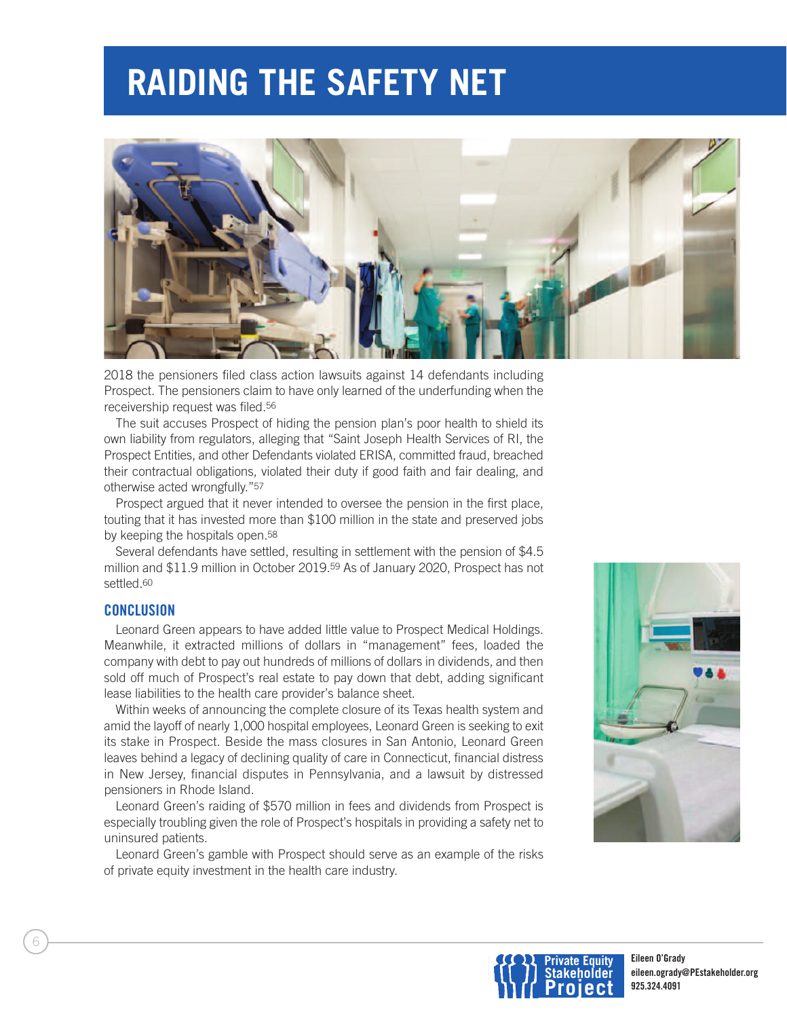

2018 the pensioners filed class action lawsuits against 14 defendants including Prospect. The pensioners claim to have only learned of the underfunding when the receivership request was filed.56

The suit accuses Prospect of hiding the pension plan's poor health to shield its own liability from regulators, alleging that "Saint Joseph Health Services of RI, the Prospect Entities, and other Defendants violated ERISA, committed fraud, breached their contractual obligations, violated their duty if good faith and fair dealing, and otherwise acted wrongfully."57

Prospect argued that it never intended to oversee the pension in the first place, touting that it has invested more than \$100 million in the state and preserved jobs by keeping the hospitals open.58

Several defendants have settled, resulting in settlement with the pension of \$4.5 million and \$11.9 million in October 2019.59 As of January 2020, Prospect has not settled.<sup>60</sup>

#### **CONCLUSION**

Leonard Green appears to have added little value to Prospect Medical Holdings. Meanwhile, it extracted millions of dollars in "management" fees, loaded the company with debt to pay out hundreds of millions of dollars in dividends, and then sold off much of Prospect's real estate to pay down that debt, adding significant lease liabilities to the health care provider's balance sheet.

Within weeks of announcing the complete closure of its Texas health system and amid the layoff of nearly 1,000 hospital employees, Leonard Green is seeking to exit its stake in Prospect. Beside the mass closures in San Antonio, Leonard Green leaves behind a legacy of declining quality of care in Connecticut, financial distress in New Jersey, financial disputes in Pennsylvania, and a lawsuit by distressed pensioners in Rhode Island.

Leonard Green's raiding of \$570 million in fees and dividends from Prospect is especially troubling given the role of Prospect's hospitals in providing a safety net to uninsured patients.

Leonard Green's gamble with Prospect should serve as an example of the risks of private equity investment in the health care industry.



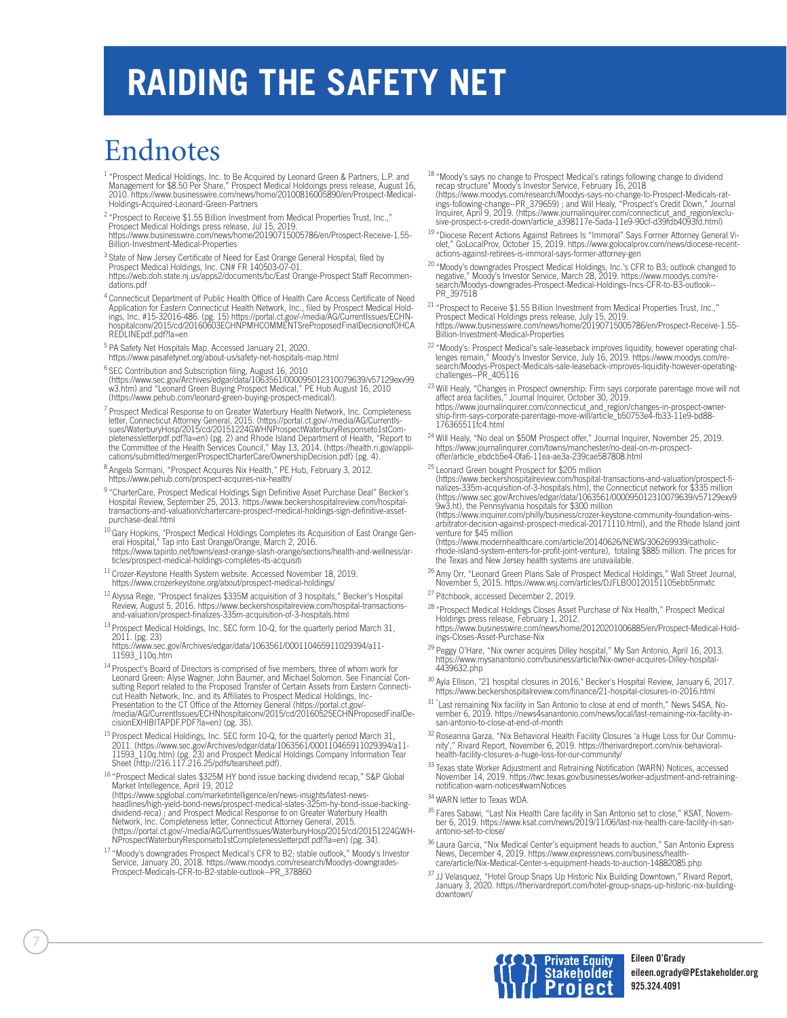### Endnotes

- <sup>1</sup> "Prospect Medical Holdings, Inc. to Be Acquired by Leonard Green & Partners, L.P. and<br>Management for \$8.50 Per Share," Prospect Medical Holdoings press release, August 16,<br>2010. https://www.businesswire.com/news/home/2 Holdings-Acquired-Leonard-Green-Partners
- <sup>2</sup> "Prospect to Receive \$1.55 Billion Investment from Medical Properties Trust, Inc.," Prospect Medical Holdings press release, Jul 15, 2019.
- https://www.businesswire.com/news/home/20190715005786/en/Prospect-Receive-1.55- Billion-Investment-Medical-Properties
- <sup>3</sup> State of New Jersey Certificate of Need for East Orange General Hospital, filed by Prospect Medical Holdings, Inc. CN# FR 140503-07-01. https://web.doh.state.nj.us/apps2/documents/bc/East Orange-Prospect Staff Recommen dations.pdf
- <sup>4</sup> Connecticut Department of Public Health Office of Health Care Access Certificate of Need Application for Eastern Connecticut Health Network, Inc., filed by Prospect Medical Hold-<br>ings, Inc. #15-32016-486. (pg. 15) https://portal.ct.gov/-/media/AG/CurrentIssues/ECHN-<br>hospitalconv/2015/cd/20160603ECHNPMHCOMMENTS REDLINEpdf.pdf?la=en
- <sup>5</sup> PA Safety Net Hospitals Map. Accessed January 21, 2020.<br>https://www.pasafetynet.org/about-us/safety-net-hospitals-map.html
- <sup>6</sup> SEC Contribution and Subscription filing, August 16, 2010<br>(https://www.sec.gov/Archives/edgar/data/1063561/000095012310079639/v57129exv99 w3.htm) and "Leonard Green Buying Prospect Medical," PE Hub August 16, 2010 (https://www.pehub.com/leonard-green-buying-prospect-medical/).
- <sup>7</sup> Prospect Medical Response to on Greater Waterbury Health Network, Inc. Completeness letter, Connecticut Attorney General, 2015. (https://portal.ct.gov/-/media/AG/CurrentIs-<br>sues/WaterburyHosp/2015/cd/20151224GWHNProspectWaterburyResponseto1stCom-<br>pletenessletterpdf.pdf?la=en) (pg. 2) and Rhode Island Depa cations/submitted/merger/ProspectCharterCare/OwnershipDecision.pdf) (pg. 4).
- <sup>8</sup> Angela Sormani, "Prospect Acquires Nix Health," PE Hub, February 3, 2012.<br>https://www.pehub.com/prospect-acquires-nix-health/
- 9 "CharterCare, Prospect Medical Holdings Sign Definitive Asset Purchase Deal" Becker's Hospital Review, September 25, 2013. https://www.beckershospitalreview.com/hospitaltransactions-and-valuation/chartercare-prospect-medical-holdings-sign-definitive-assetpurchase-deal.html
- <sup>10</sup> Gary Hopkins, "Prospect Medical Holdings Completes its Acquisition of East Orange General Hospital," Tap into East Orange/Orange, March 2, 2016.<br>| eral Hospital," Tap into East Orange/Orange, March 2, 2016.<br>| https:// ticles/prospect-medical-holdings-completes-its-acquisiti
- <sup>11</sup> Crozer-Keystone Health System website. Accessed November 18, 2019. https://www.crozerkeystone.org/about/prospect-medical-holdings/
- <sup>12</sup> Alyssa Rege, "Prospect finalizes \$335M acquisition of 3 hospitals," Becker's Hospital Review, August 5, 2016. https://www.beckershospitalreview.com/hospital-transactions-and-valuation/prospect-finalizes-335m-acquisition-of-3-hospitals.html
- <sup>13</sup> Prospect Medical Holdings, Inc. SEC form 10-Q, for the quarterly period March 31, 2011. (pg. 23)
- https://www.sec.gov/Archives/edgar/data/1063561/000110465911029394/a11-11593\_110q.htm
- <sup>14</sup> Prospect's Board of Directors is comprised of five members, three of whom work for<br>Leonard Green: Alyse Wagner, John Baumer, and Michael Solomon. See Financial Consulting Report related to the Proposed Transfer of Certain Assets from Eastern Connecti-cut Health Network, Inc. and its Affiliates to Prospect Medical Holdings, Inc-Presentation to the CT Office of the Attorney General (https://portal.ct.gov/- /media/AG/CurrentIssues/ECHNhospitalconv/2015/cd/20160525ECHNProposedFinalDecisionEXHIBITAPDF.PDF?la=en) (pg. 35).
- <sup>15</sup> Prospect Medical Holdings, Inc. SEC form 10-Q, for the quarterly period March 31, 2011. (https://www.sec.gov/Archives/edgar/data/1063561/000110465911029394/a11-<br>11593\_110q.htm) (pg. 23) and Prospect Medical Holdings Company Information Tear<br>Sheet (http://216.117.216.25/pdfs/tearsheet.pdf).
- <sup>16</sup> "Prospect Medical slates \$325M HY bond issue backing dividend recap," S&P Global Market Intellegence, April 19, 2012
- (https://www.spglobal.com/marketintelligence/en/news-insights/latest-news-headlines/high-yield-bond-news/prospect-medical-slates-325m-hy-bond-issue-backingdividend-reca) ; and Prospect Medical Response to on Greater Waterbury Health<br>Network, Inc. Completeness letter, Connecticut Attorney General, 2015.<br>(https://portal.ct.gov/-/media/AG/CurrentIssues/WaterburyHosp/2015/cd/201 NProspectWaterburyResponseto1stCompletenessletterpdf.pdf?la=en) (pg. 34).
- <sup>17</sup> "Moody's downgrades Prospect Medical's CFR to B2; stable outlook," Moody's Investor<br>Service, January 20, 2018. https://www.moodys.com/research/Moodys-downgrades-Prospect-Medicals-CFR-to-B2-stable-outlook--PR\_378860
- <sup>18</sup> "Moody's says no change to Prospect Medical's ratings following change to dividend<br>recap structure" Moody's Investor Service, February 16, 2018<br>(https://www.moodys.com/research/Moodys-says-no-change-to-Prospect-Medica
- <sup>19 "</sup>Diocese Recent Actions Against Retirees Is "Immoral" Says Former Attorney General Vi-<br>olet," GoLocalProv, October 15, 2019. https://www.golocalprov.com/news/diocese-recentactions-against-retirees-is-immoral-says-former-attorney-gen
- <sup>20</sup> "Moody's downgrades Prospect Medical Holdings, Inc.'s CFR to B3; outlook changed to<br>negative," Moody's Investor Service, March 28, 2019. https://www.moodys.com/re-<br>search/Moodys-downgrades-Prospect-Medical-Holdings-In PR\_397518
- <sup>21</sup> "Prospect to Receive \$1.55 Billion Investment from Medical Properties Trust, Inc.,"<br>Prospect Medical Holdings press release, July 15, 2019.<br>https://www.businesswire.com/news/home/20190715005786/en/Prospect-Receive-1.5 Billion-Investment-Medical-Properties
- <sup>22</sup> "Moody's: Prospect Medical's sale-leaseback improves liquidity, however operating chal-<br>lenges remain," Moody's Investor Service, July 16, 2019. https://www.moodys.com/re-<br>search/Moodys-Prospect-Medicals-sale-leasebac challenges--PR\_405116
- <sup>23</sup> Will Healy, "Changes in Prospect ownership: Firm says corporate parentage move will not<br>affect area facilities," Journal Inquirer, October 30, 2019. https://www.journalinquirer.com/connecticut\_and\_region/changes-in-prospect-ownership-firm-says-corporate-parentage-move-will/article\_b50753e4-fb33-11e9-bd88- 176365511fc4.html
- <sup>24</sup> Will Healy, "No deal on \$50M Prospect offer," Journal Inquirer, November 25, 2019. https://www.journalinquirer.com/towns/manchester/no-deal-on-m-prospectoffer/article\_ebdcb5e4-0fa6-11ea-ae3a-239cae587808.html
- 

<sup>25</sup> Leonard Green bought Prospect for \$205 million<br>(https://www.beckershospitalreview.com/hospital-transactions-and-valuation/prospect-finalizes-335m-acquisition-of-3-hospitals.htm), the Connecticut network for \$335 million (https://www.sec.gov/Archives/edgar/data/1063561/000095012310079639/v57129exv9 9w3.ht), the Pennsylvania hospitals for \$300 million

(https://www.inquirer.com/philly/business/crozer-keystone-community-foundation-wins-arbitrator-decision-against-prospect-medical-20171110.html), and the Rhode Island joint venture for \$45 million

(https://www.modernhealthcare.com/article/20140626/NEWS/306269939/catholicrhode-island-system-enters-for-profit-joint-venture), totaling \$885 million. The prices for the Texas and New Jersey health systems are unavailable.

<sup>26</sup> Amy Orr, "Leonard Green Plans Sale of Prospect Medical Holdings," Wall Street Journal, November 5, 2015. https://www.wsj.com/articles/DJFLBO0120151105ebb5nmxtc

- <sup>27</sup> Pitchbook, accessed December 2, 2019.
- <sup>28</sup> "Prospect Medical Holdings Closes Asset Purchase of Nix Health," Prospect Medical<br>Holdings press release, February 1, 2012. https://www.businesswire.com/news/home/20120201006885/en/Prospect-Medical-Holdings-Closes-Asset-Purchase-Nix
- <sup>29</sup> Peggy O'Hare, "Nix owner acquires Dilley hospital," My San Antonio, April 16, 2013. https://www.mysanantonio.com/business/article/Nix-owner-acquires-Dilley-hospital-4439632.php
- <sup>30</sup> Ayla Ellison, "21 hospital closures in 2016," Becker's Hospital Review, January 6, 2017. https://www.beckershospitalreview.com/finance/21-hospital-closures-in-2016.htm
- <sup>31</sup> "Last remaining Nix facility in San Antonio to close at end of month," News S4SA, November 6, 2019. https://news4sanantonio.com/news/local/last-remaining-nix-facility-in-san-antonio-to-close-at-end-of-month
- <sup>32</sup> Roseanna Garza, "Nix Behavioral Health Facility Closures 'a Huge Loss for Our Community'," Rivard Report, November 6, 2019. https://therivardreport.com/nix-behavioral-health-facility-closures-a-huge-loss-for-our-community/
- <sup>33</sup> Texas state Worker Adjustment and Retraining Notification (WARN) Notices, accessed<br>November 14, 2019. https://twc.texas.gov/businesses/worker-adjustment-and-retrainingnotification-warn-notices#warnNotices
- 34 WARN letter to Texas WDA.
- <sup>35</sup> Fares Sabawi, "Last Nix Health Care facility in San Antonio set to close," KSAT, Novem-<br>ber 6, 2019. https://www.ksat.com/news/2019/11/06/last-nix-health-care-facility-in-sanantonio-set-to-close/
- <sup>36</sup> Laura Garcia, "Nix Medical Center's equipment heads to auction," San Antonio Express<br>News, December 4, 2019. https://www.expressnews.com/business/health-<br>care/article/Nix-Medical-Center-s-equipment-heads-to-auction-14
- <sup>37</sup> JJ Velasquez, "Hotel Group Snaps Up Historic Nix Building Downtown," Rivard Report,<br>January 3, 2020. https://therivardreport.com/hotel-group-snaps-up-historic-nix-buildingdowntown/